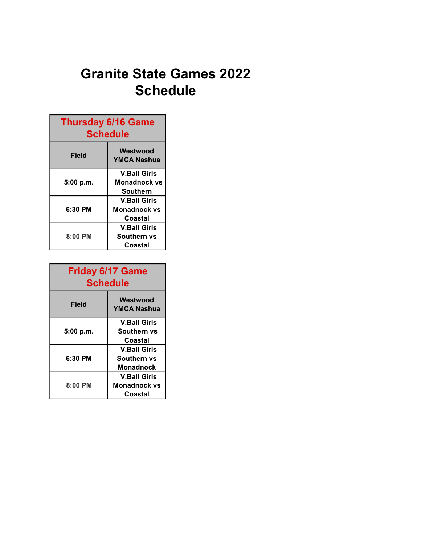## Granite State Games 2022 Schedule

| <b>Thursday 6/16 Game</b><br><b>Schedule</b> |                                                        |  |
|----------------------------------------------|--------------------------------------------------------|--|
| Field                                        | Westwood<br><b>YMCA Nashua</b>                         |  |
| 5:00 p.m.                                    | <b>V.Ball Girls</b><br><b>Monadnock vs</b><br>Southern |  |
| 6:30 PM                                      | <b>V.Ball Girls</b><br>Monadnock vs<br>Coastal         |  |
| $8:00$ PM                                    | <b>V.Ball Girls</b><br>Southern vs<br>Coastal          |  |

| <b>Friday 6/17 Game</b><br><b>Schedule</b> |                                                       |  |
|--------------------------------------------|-------------------------------------------------------|--|
| Field                                      | Westwood<br><b>YMCA Nashua</b>                        |  |
| 5:00 p.m.                                  | <b>V.Ball Girls</b><br>Southern vs<br>Coastal         |  |
| 6:30 PM                                    | <b>V.Ball Girls</b><br>Southern vs<br>Monadnock       |  |
| $8:00$ PM                                  | <b>V.Ball Girls</b><br><b>Monadnock vs</b><br>Coastal |  |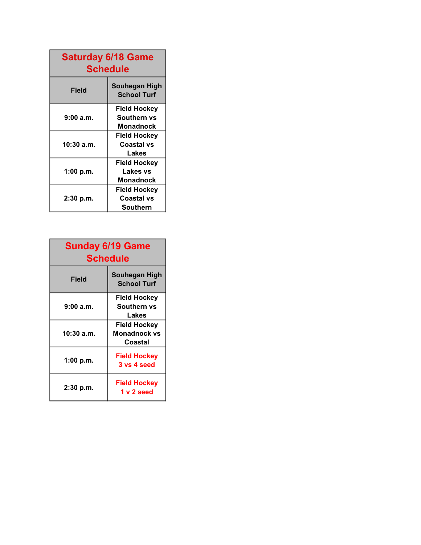| <b>Saturday 6/18 Game</b><br><b>Schedule</b> |                                                     |  |
|----------------------------------------------|-----------------------------------------------------|--|
| Field                                        | Souhegan High<br><b>School Turf</b>                 |  |
| 9:00 a.m.                                    | <b>Field Hockey</b><br>Southern vs<br>Monadnock     |  |
| 10:30 a.m.                                   | Field Hockey<br>Coastal vs<br>Lakes                 |  |
| 1:00 p.m.                                    | <b>Field Hockey</b><br>Lakes vs<br><b>Monadnock</b> |  |
| 2:30 p.m.                                    | Field Hockey<br><b>Coastal vs</b><br>Southern       |  |

| <b>Sunday 6/19 Game</b><br><b>Schedule</b> |                                                |  |
|--------------------------------------------|------------------------------------------------|--|
| <b>Field</b>                               | Souhegan High<br><b>School Turf</b>            |  |
| 9:00a.m.                                   | Field Hockey<br>Southern vs<br>Lakes           |  |
| 10:30 a.m.                                 | Field Hockey<br><b>Monadnock vs</b><br>Coastal |  |
| 1:00 p.m.                                  | <b>Field Hockey</b><br>3 vs 4 seed             |  |
| $2:30$ p.m.                                | Field Hockey<br>1 v 2 seed                     |  |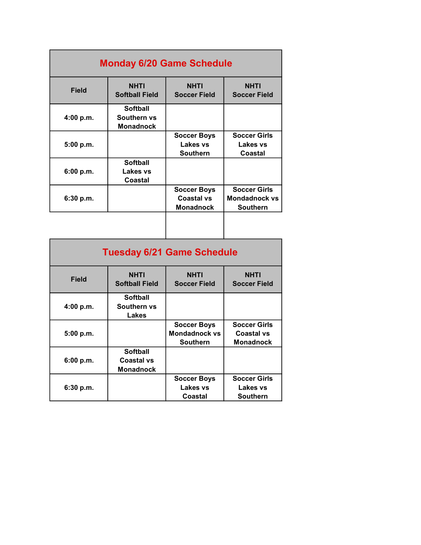| <b>Monday 6/20 Game Schedule</b> |                                                    |                                                             |                                                                |
|----------------------------------|----------------------------------------------------|-------------------------------------------------------------|----------------------------------------------------------------|
| <b>Field</b>                     | <b>NHTI</b><br><b>Softball Field</b>               | <b>NHTI</b><br><b>Soccer Field</b>                          | <b>NHTI</b><br><b>Soccer Field</b>                             |
| 4:00 p.m.                        | <b>Softball</b><br>Southern vs<br><b>Monadnock</b> |                                                             |                                                                |
| 5:00 p.m.                        |                                                    | <b>Soccer Boys</b><br>Lakes vs<br><b>Southern</b>           | <b>Soccer Girls</b><br>Lakes vs<br>Coastal                     |
| 6:00 p.m.                        | <b>Softball</b><br>Lakes vs<br>Coastal             |                                                             |                                                                |
| 6:30 p.m.                        |                                                    | <b>Soccer Boys</b><br><b>Coastal vs</b><br><b>Monadnock</b> | <b>Soccer Girls</b><br><b>Mondadnock vs</b><br><b>Southern</b> |
|                                  |                                                    |                                                             |                                                                |

| <b>Tuesday 6/21 Game Schedule</b> |                                                   |                                                               |                                                       |
|-----------------------------------|---------------------------------------------------|---------------------------------------------------------------|-------------------------------------------------------|
| Field                             | <b>NHTI</b><br><b>Softball Field</b>              | <b>NHTI</b><br><b>Soccer Field</b>                            | <b>NHTI</b><br><b>Soccer Field</b>                    |
| 4:00 p.m.                         | Softball<br>Southern vs<br>Lakes                  |                                                               |                                                       |
| 5:00 p.m.                         |                                                   | <b>Soccer Boys</b><br><b>Mondadnock vs</b><br><b>Southern</b> | <b>Soccer Girls</b><br>Coastal vs<br><b>Monadnock</b> |
| 6:00 p.m.                         | Softball<br><b>Coastal vs</b><br><b>Monadnock</b> |                                                               |                                                       |
| $6:30$ p.m.                       |                                                   | <b>Soccer Boys</b><br>Lakes vs<br>Coastal                     | <b>Soccer Girls</b><br>Lakes vs<br><b>Southern</b>    |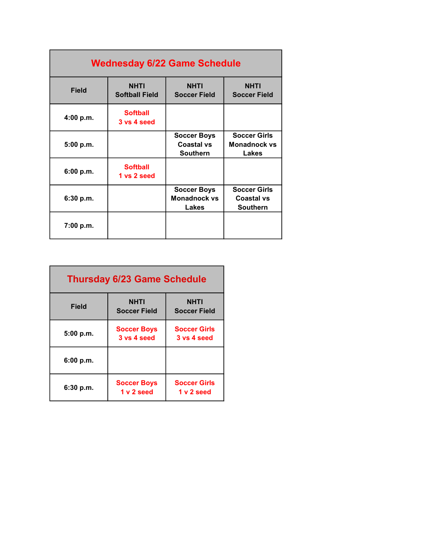| <b>Wednesday 6/22 Game Schedule</b> |                                      |                                                            |                                                             |
|-------------------------------------|--------------------------------------|------------------------------------------------------------|-------------------------------------------------------------|
| <b>Field</b>                        | <b>NHTI</b><br><b>Softball Field</b> | <b>NHTI</b><br><b>Soccer Field</b>                         | <b>NHTI</b><br><b>Soccer Field</b>                          |
| 4:00 p.m.                           | <b>Softball</b><br>3 vs 4 seed       |                                                            |                                                             |
| 5:00 p.m.                           |                                      | <b>Soccer Boys</b><br><b>Coastal vs</b><br><b>Southern</b> | <b>Soccer Girls</b><br><b>Monadnock vs</b><br>Lakes         |
| 6:00 p.m.                           | <b>Softball</b><br>1 vs 2 seed       |                                                            |                                                             |
| 6:30 p.m.                           |                                      | <b>Soccer Boys</b><br><b>Monadnock vs</b><br>Lakes         | <b>Soccer Girls</b><br><b>Coastal vs</b><br><b>Southern</b> |
| 7:00 p.m.                           |                                      |                                                            |                                                             |

| <b>Thursday 6/23 Game Schedule</b> |                                   |                                    |
|------------------------------------|-----------------------------------|------------------------------------|
| Field                              | NHTI<br><b>Soccer Field</b>       | NHTI<br><b>Soccer Field</b>        |
| 5:00 p.m.                          | <b>Soccer Boys</b><br>3 vs 4 seed | <b>Soccer Girls</b><br>3 vs 4 seed |
| 6:00 p.m.                          |                                   |                                    |
| 6:30 p.m.                          | <b>Soccer Boys</b><br>1 v 2 seed  | <b>Soccer Girls</b><br>1 v 2 seed  |